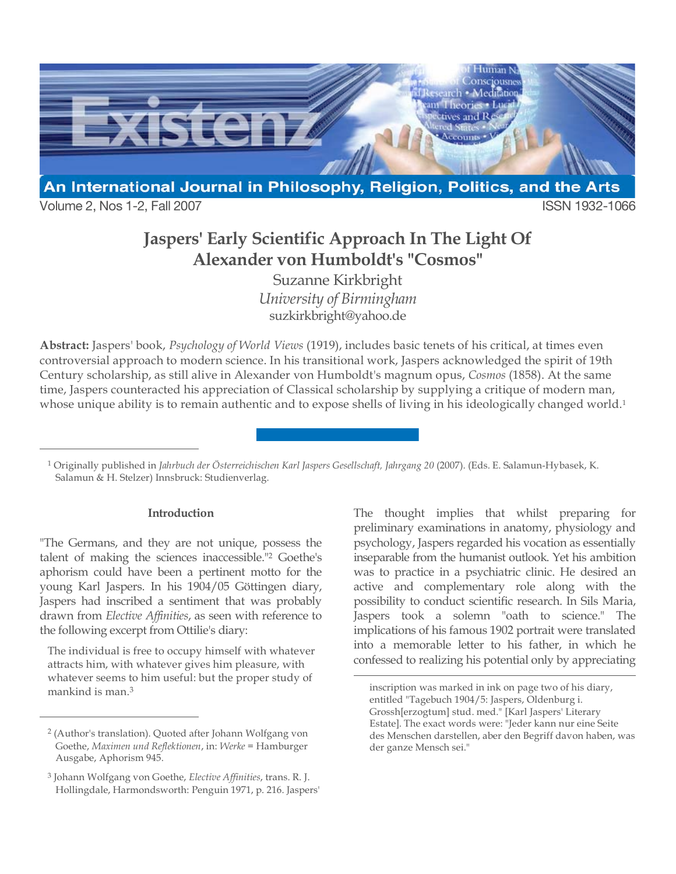

Volume 2, Nos 1-2, Fall 2007 **ISSN 1932-1066** 

 $\overline{a}$ 

 $\overline{a}$ 

## **Jaspers' Early Scientific Approach In The Light Of Alexander von Humboldt's "Cosmos"**

Suzanne Kirkbright *University of Birmingham* suzkirkbright@yahoo.de

**Abstract:** Jaspers' book, *Psychology of World Views* (1919), includes basic tenets of his critical, at times even controversial approach to modern science. In his transitional work, Jaspers acknowledged the spirit of 19th Century scholarship, as still alive in Alexander von Humboldt's magnum opus, *Cosmos* (1858). At the same time, Jaspers counteracted his appreciation of Classical scholarship by supplying a critique of modern man, whose unique ability is to remain authentic and to expose shells of living in his ideologically changed world.<sup>1</sup>

<sup>1</sup> Originally published in *Jahrbuch der Österreichischen Karl Jaspers Gesellschaft, Jahrgang 20* (2007). (Eds. E. Salamun-Hybasek, K. Salamun & H. Stelzer) Innsbruck: Studienverlag.

 $\overline{a}$ 

## **Introduction**

"The Germans, and they are not unique, possess the talent of making the sciences inaccessible."2 Goethe's aphorism could have been a pertinent motto for the young Karl Jaspers. In his 1904/05 Göttingen diary, Jaspers had inscribed a sentiment that was probably drawn from *Elective Affinities*, as seen with reference to the following excerpt from Ottilie's diary:

The individual is free to occupy himself with whatever attracts him, with whatever gives him pleasure, with whatever seems to him useful: but the proper study of mankind is man.3

The thought implies that whilst preparing for preliminary examinations in anatomy, physiology and psychology, Jaspers regarded his vocation as essentially inseparable from the humanist outlook. Yet his ambition was to practice in a psychiatric clinic. He desired an active and complementary role along with the possibility to conduct scientific research. In Sils Maria, Jaspers took a solemn "oath to science." The implications of his famous 1902 portrait were translated into a memorable letter to his father, in which he confessed to realizing his potential only by appreciating

<sup>2</sup> (Author's translation). Quoted after Johann Wolfgang von Goethe, *Maximen und Reflektionen*, in: *Werke* = Hamburger Ausgabe, Aphorism 945.

<sup>3</sup> Johann Wolfgang von Goethe, *Elective Affinities*, trans. R. J. Hollingdale, Harmondsworth: Penguin 1971, p. 216. Jaspers'

inscription was marked in ink on page two of his diary, entitled "Tagebuch 1904/5: Jaspers, Oldenburg i. Grossh[erzogtum] stud. med." [Karl Jaspers' Literary Estate]. The exact words were: "Jeder kann nur eine Seite des Menschen darstellen, aber den Begriff davon haben, was der ganze Mensch sei."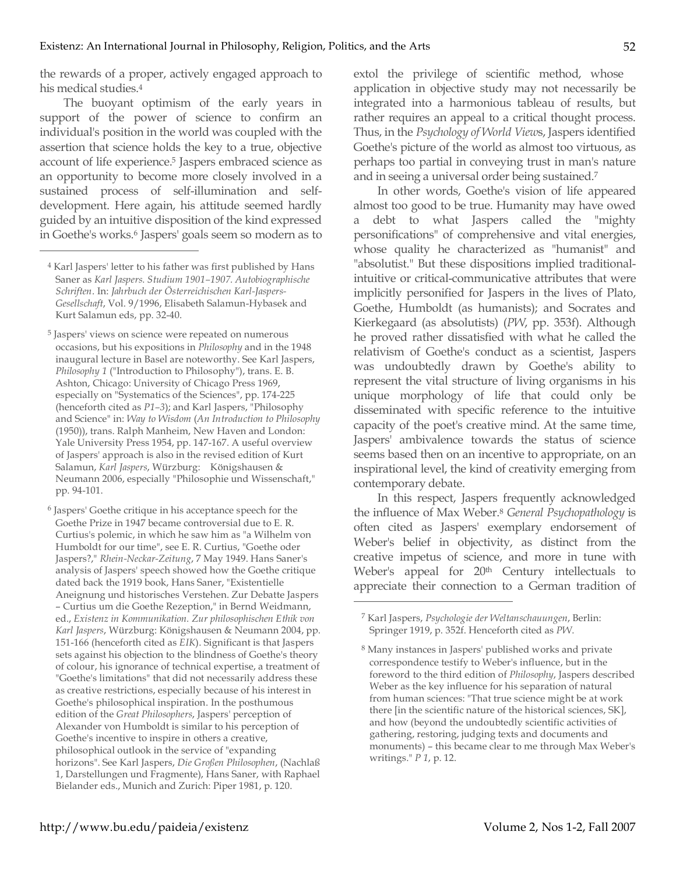the rewards of a proper, actively engaged approach to his medical studies.4

The buoyant optimism of the early years in support of the power of science to confirm an individual's position in the world was coupled with the assertion that science holds the key to a true, objective account of life experience. <sup>5</sup> Jaspers embraced science as an opportunity to become more closely involved in a sustained process of self-illumination and selfdevelopment. Here again, his attitude seemed hardly guided by an intuitive disposition of the kind expressed in Goethe's works.6 Jaspers' goals seem so modern as to

 $\overline{a}$ 

extol the privilege of scientific method, whose application in objective study may not necessarily be integrated into a harmonious tableau of results, but rather requires an appeal to a critical thought process. Thus, in the *Psychology of World View*s, Jaspers identified Goethe's picture of the world as almost too virtuous, as perhaps too partial in conveying trust in man's nature and in seeing a universal order being sustained.7

In other words, Goethe's vision of life appeared almost too good to be true. Humanity may have owed a debt to what Jaspers called the "mighty personifications" of comprehensive and vital energies, whose quality he characterized as "humanist" and "absolutist." But these dispositions implied traditionalintuitive or critical-communicative attributes that were implicitly personified for Jaspers in the lives of Plato, Goethe, Humboldt (as humanists); and Socrates and Kierkegaard (as absolutists) (*PW*, pp. 353f). Although he proved rather dissatisfied with what he called the relativism of Goethe's conduct as a scientist, Jaspers was undoubtedly drawn by Goethe's ability to represent the vital structure of living organisms in his unique morphology of life that could only be disseminated with specific reference to the intuitive capacity of the poet's creative mind. At the same time, Jaspers' ambivalence towards the status of science seems based then on an incentive to appropriate, on an inspirational level, the kind of creativity emerging from contemporary debate.

In this respect, Jaspers frequently acknowledged the influence of Max Weber.8 *General Psychopathology* is often cited as Jaspers' exemplary endorsement of Weber's belief in objectivity, as distinct from the creative impetus of science, and more in tune with Weber's appeal for 20<sup>th</sup> Century intellectuals to appreciate their connection to a German tradition of

<sup>4</sup> Karl Jaspers' letter to his father was first published by Hans Saner as *Karl Jaspers. Studium 1901–1907. Autobiographische Schriften*. In: *Jahrbuch der Österreichischen Karl-Jaspers-Gesellschaft*, Vol. 9/1996, Elisabeth Salamun-Hybasek and Kurt Salamun eds, pp. 32-40.

<sup>5</sup> Jaspers' views on science were repeated on numerous occasions, but his expositions in *Philosophy* and in the 1948 inaugural lecture in Basel are noteworthy. See Karl Jaspers, *Philosophy 1* ("Introduction to Philosophy"), trans. E. B. Ashton, Chicago: University of Chicago Press 1969, especially on "Systematics of the Sciences", pp. 174-225 (henceforth cited as *P1–3*); and Karl Jaspers, "Philosophy and Science" in: *Way to Wisdom* (*An Introduction to Philosophy* (1950)), trans. Ralph Manheim, New Haven and London: Yale University Press 1954, pp. 147-167. A useful overview of Jaspers' approach is also in the revised edition of Kurt Salamun, *Karl Jaspers*, Würzburg: Königshausen & Neumann 2006, especially "Philosophie und Wissenschaft," pp. 94-101.

<sup>6</sup> Jaspers' Goethe critique in his acceptance speech for the Goethe Prize in 1947 became controversial due to E. R. Curtius's polemic, in which he saw him as "a Wilhelm von Humboldt for our time", see E. R. Curtius, "Goethe oder Jaspers?," *Rhein-Neckar-Zeitung*, 7 May 1949. Hans Saner's analysis of Jaspers' speech showed how the Goethe critique dated back the 1919 book, Hans Saner, "Existentielle Aneignung und historisches Verstehen. Zur Debatte Jaspers – Curtius um die Goethe Rezeption," in Bernd Weidmann, ed., *Existenz in Kommunikation. Zur philosophischen Ethik von Karl Jaspers*, Würzburg: Königshausen & Neumann 2004, pp. 151-166 (henceforth cited as *EIK*). Significant is that Jaspers sets against his objection to the blindness of Goethe's theory of colour, his ignorance of technical expertise, a treatment of "Goethe's limitations" that did not necessarily address these as creative restrictions, especially because of his interest in Goethe's philosophical inspiration. In the posthumous edition of the *Great Philosophers*, Jaspers' perception of Alexander von Humboldt is similar to his perception of Goethe's incentive to inspire in others a creative, philosophical outlook in the service of "expanding horizons". See Karl Jaspers, *Die Großen Philosophen*, (Nachlaß 1, Darstellungen und Fragmente), Hans Saner, with Raphael Bielander eds., Munich and Zurich: Piper 1981, p. 120.

<sup>7</sup> Karl Jaspers, *Psychologie der Weltanschauungen*, Berlin: Springer 1919, p. 352f. Henceforth cited as *PW*.

<sup>8</sup> Many instances in Jaspers' published works and private correspondence testify to Weber's influence, but in the foreword to the third edition of *Philosophy*, Jaspers described Weber as the key influence for his separation of natural from human sciences: "That true science might be at work there [in the scientific nature of the historical sciences, SK], and how (beyond the undoubtedly scientific activities of gathering, restoring, judging texts and documents and monuments) – this became clear to me through Max Weber's writings." *P 1*, p. 12.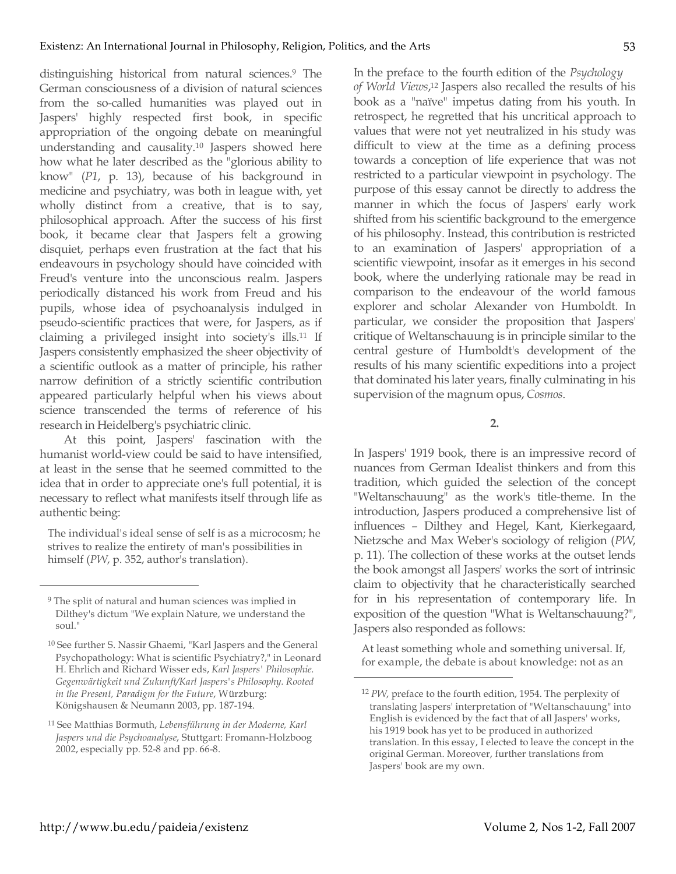distinguishing historical from natural sciences.9 The German consciousness of a division of natural sciences from the so-called humanities was played out in Jaspers' highly respected first book, in specific appropriation of the ongoing debate on meaningful understanding and causality.10 Jaspers showed here how what he later described as the "glorious ability to know" (*P1*, p. 13), because of his background in medicine and psychiatry, was both in league with, yet wholly distinct from a creative, that is to say, philosophical approach. After the success of his first book, it became clear that Jaspers felt a growing disquiet, perhaps even frustration at the fact that his endeavours in psychology should have coincided with Freud's venture into the unconscious realm. Jaspers periodically distanced his work from Freud and his pupils, whose idea of psychoanalysis indulged in pseudo-scientific practices that were, for Jaspers, as if claiming a privileged insight into society's ills.11 If Jaspers consistently emphasized the sheer objectivity of a scientific outlook as a matter of principle, his rather narrow definition of a strictly scientific contribution appeared particularly helpful when his views about science transcended the terms of reference of his research in Heidelberg's psychiatric clinic.

At this point, Jaspers' fascination with the humanist world-view could be said to have intensified, at least in the sense that he seemed committed to the idea that in order to appreciate one's full potential, it is necessary to reflect what manifests itself through life as authentic being:

The individual's ideal sense of self is as a microcosm; he strives to realize the entirety of man's possibilities in himself (*PW*, p. 352, author's translation).

 $\overline{a}$ 

In the preface to the fourth edition of the *Psychology of World Views*, <sup>12</sup> Jaspers also recalled the results of his book as a "naïve" impetus dating from his youth. In retrospect, he regretted that his uncritical approach to values that were not yet neutralized in his study was difficult to view at the time as a defining process towards a conception of life experience that was not restricted to a particular viewpoint in psychology. The purpose of this essay cannot be directly to address the manner in which the focus of Jaspers' early work shifted from his scientific background to the emergence of his philosophy. Instead, this contribution is restricted to an examination of Jaspers' appropriation of a scientific viewpoint, insofar as it emerges in his second book, where the underlying rationale may be read in comparison to the endeavour of the world famous explorer and scholar Alexander von Humboldt. In particular, we consider the proposition that Jaspers' critique of Weltanschauung is in principle similar to the central gesture of Humboldt's development of the results of his many scientific expeditions into a project that dominated his later years, finally culminating in his supervision of the magnum opus, *Cosmos*.

**2.**

In Jaspers' 1919 book, there is an impressive record of nuances from German Idealist thinkers and from this tradition, which guided the selection of the concept "Weltanschauung" as the work's title-theme. In the introduction, Jaspers produced a comprehensive list of influences – Dilthey and Hegel, Kant, Kierkegaard, Nietzsche and Max Weber's sociology of religion (*PW*, p. 11). The collection of these works at the outset lends the book amongst all Jaspers' works the sort of intrinsic claim to objectivity that he characteristically searched for in his representation of contemporary life. In exposition of the question "What is Weltanschauung?", Jaspers also responded as follows:

At least something whole and something universal. If, for example, the debate is about knowledge: not as an

<sup>9</sup> The split of natural and human sciences was implied in Dilthey's dictum "We explain Nature, we understand the soul."

<sup>10</sup> See further S. Nassir Ghaemi, "Karl Jaspers and the General Psychopathology: What is scientific Psychiatry?," in Leonard H. Ehrlich and Richard Wisser eds, *Karl Jaspers' Philosophie. Gegenwärtigkeit und Zukunft/Karl Jaspers's Philosophy. Rooted in the Present, Paradigm for the Future*, Würzburg: Königshausen & Neumann 2003, pp. 187-194.

<sup>11</sup> See Matthias Bormuth, *Lebensführung in der Moderne, Karl Jaspers und die Psychoanalyse*, Stuttgart: Fromann-Holzboog 2002, especially pp. 52-8 and pp. 66-8.

<sup>12</sup> *PW*, preface to the fourth edition, 1954. The perplexity of translating Jaspers' interpretation of "Weltanschauung" into English is evidenced by the fact that of all Jaspers' works, his 1919 book has yet to be produced in authorized translation. In this essay, I elected to leave the concept in the original German. Moreover, further translations from Jaspers' book are my own.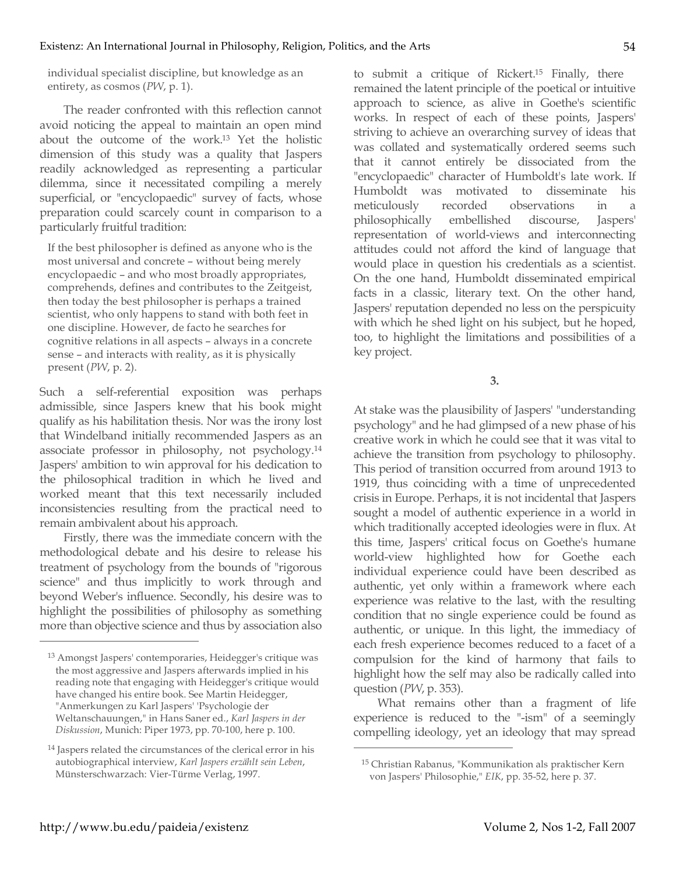individual specialist discipline, but knowledge as an entirety, as cosmos (*PW*, p. 1).

The reader confronted with this reflection cannot avoid noticing the appeal to maintain an open mind about the outcome of the work. <sup>13</sup> Yet the holistic dimension of this study was a quality that Jaspers readily acknowledged as representing a particular dilemma, since it necessitated compiling a merely superficial, or "encyclopaedic" survey of facts, whose preparation could scarcely count in comparison to a particularly fruitful tradition:

If the best philosopher is defined as anyone who is the most universal and concrete – without being merely encyclopaedic – and who most broadly appropriates, comprehends, defines and contributes to the Zeitgeist, then today the best philosopher is perhaps a trained scientist, who only happens to stand with both feet in one discipline. However, de facto he searches for cognitive relations in all aspects – always in a concrete sense – and interacts with reality, as it is physically present (*PW*, p. 2).

Such a self-referential exposition was perhaps admissible, since Jaspers knew that his book might qualify as his habilitation thesis. Nor was the irony lost that Windelband initially recommended Jaspers as an associate professor in philosophy, not psychology.14 Jaspers' ambition to win approval for his dedication to the philosophical tradition in which he lived and worked meant that this text necessarily included inconsistencies resulting from the practical need to remain ambivalent about his approach.

Firstly, there was the immediate concern with the methodological debate and his desire to release his treatment of psychology from the bounds of "rigorous science" and thus implicitly to work through and beyond Weber's influence. Secondly, his desire was to highlight the possibilities of philosophy as something more than objective science and thus by association also

to submit a critique of Rickert. <sup>15</sup> Finally, there remained the latent principle of the poetical or intuitive approach to science, as alive in Goethe's scientific works. In respect of each of these points, Jaspers' striving to achieve an overarching survey of ideas that was collated and systematically ordered seems such that it cannot entirely be dissociated from the "encyclopaedic" character of Humboldt's late work. If Humboldt was motivated to disseminate his meticulously recorded observations in a philosophically embellished discourse, Jaspers' representation of world-views and interconnecting attitudes could not afford the kind of language that would place in question his credentials as a scientist. On the one hand, Humboldt disseminated empirical facts in a classic, literary text. On the other hand, Jaspers' reputation depended no less on the perspicuity with which he shed light on his subject, but he hoped, too, to highlight the limitations and possibilities of a key project.

**3.**

At stake was the plausibility of Jaspers' "understanding psychology" and he had glimpsed of a new phase of his creative work in which he could see that it was vital to achieve the transition from psychology to philosophy. This period of transition occurred from around 1913 to 1919, thus coinciding with a time of unprecedented crisis in Europe. Perhaps, it is not incidental that Jaspers sought a model of authentic experience in a world in which traditionally accepted ideologies were in flux. At this time, Jaspers' critical focus on Goethe's humane world-view highlighted how for Goethe each individual experience could have been described as authentic, yet only within a framework where each experience was relative to the last, with the resulting condition that no single experience could be found as authentic, or unique. In this light, the immediacy of each fresh experience becomes reduced to a facet of a compulsion for the kind of harmony that fails to highlight how the self may also be radically called into question (*PW*, p. 353).

What remains other than a fragment of life experience is reduced to the "-ism" of a seemingly compelling ideology, yet an ideology that may spread

 $\overline{a}$ 

<sup>13</sup> Amongst Jaspers' contemporaries, Heidegger's critique was the most aggressive and Jaspers afterwards implied in his reading note that engaging with Heidegger's critique would have changed his entire book. See Martin Heidegger, "Anmerkungen zu Karl Jaspers' 'Psychologie der Weltanschauungen," in Hans Saner ed., *Karl Jaspers in der Diskussion*, Munich: Piper 1973, pp. 70-100, here p. 100.

<sup>14</sup> Jaspers related the circumstances of the clerical error in his autobiographical interview, *Karl Jaspers erzählt sein Leben*, Münsterschwarzach: Vier-Türme Verlag, 1997.

<sup>15</sup> Christian Rabanus, "Kommunikation als praktischer Kern von Jaspers' Philosophie," *EIK*, pp. 35-52, here p. 37.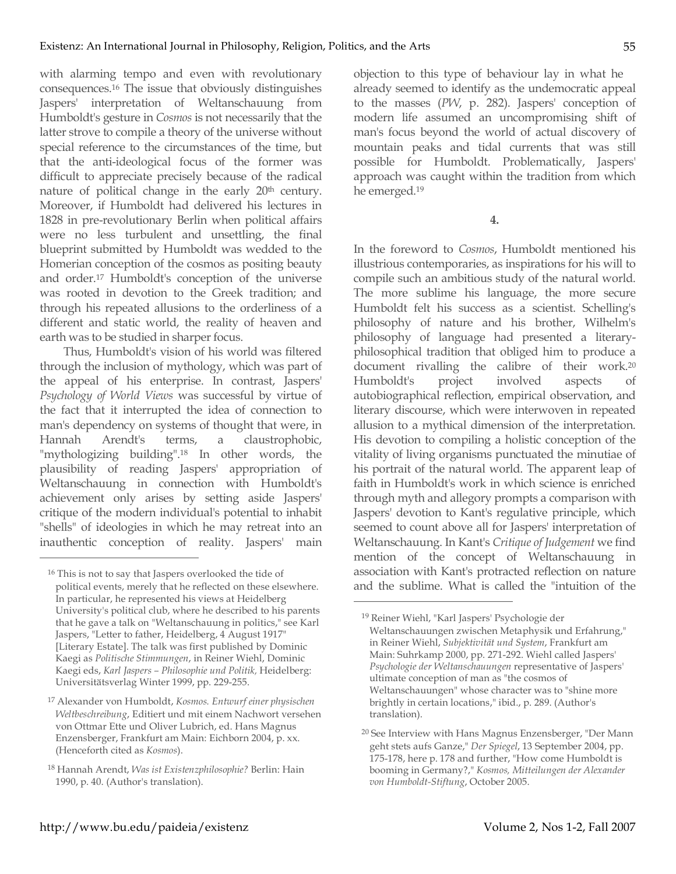with alarming tempo and even with revolutionary consequences.16 The issue that obviously distinguishes Jaspers' interpretation of Weltanschauung from Humboldt's gesture in *Cosmos* is not necessarily that the latter strove to compile a theory of the universe without special reference to the circumstances of the time, but that the anti-ideological focus of the former was difficult to appreciate precisely because of the radical nature of political change in the early 20<sup>th</sup> century. Moreover, if Humboldt had delivered his lectures in 1828 in pre-revolutionary Berlin when political affairs were no less turbulent and unsettling, the final blueprint submitted by Humboldt was wedded to the Homerian conception of the cosmos as positing beauty and order.17 Humboldt's conception of the universe was rooted in devotion to the Greek tradition; and through his repeated allusions to the orderliness of a different and static world, the reality of heaven and earth was to be studied in sharper focus.

Thus, Humboldt's vision of his world was filtered through the inclusion of mythology, which was part of the appeal of his enterprise. In contrast, Jaspers' *Psychology of World Views* was successful by virtue of the fact that it interrupted the idea of connection to man's dependency on systems of thought that were, in Hannah Arendt's terms, a claustrophobic, "mythologizing building".18 In other words, the plausibility of reading Jaspers' appropriation of Weltanschauung in connection with Humboldt's achievement only arises by setting aside Jaspers' critique of the modern individual's potential to inhabit "shells" of ideologies in which he may retreat into an inauthentic conception of reality. Jaspers' main

 $\overline{a}$ 

objection to this type of behaviour lay in what he already seemed to identify as the undemocratic appeal to the masses (*PW*, p. 282). Jaspers' conception of modern life assumed an uncompromising shift of man's focus beyond the world of actual discovery of mountain peaks and tidal currents that was still possible for Humboldt. Problematically, Jaspers' approach was caught within the tradition from which he emerged.19

**4.**

In the foreword to *Cosmos*, Humboldt mentioned his illustrious contemporaries, as inspirations for his will to compile such an ambitious study of the natural world. The more sublime his language, the more secure Humboldt felt his success as a scientist. Schelling's philosophy of nature and his brother, Wilhelm's philosophy of language had presented a literaryphilosophical tradition that obliged him to produce a document rivalling the calibre of their work.20 Humboldt's project involved aspects of autobiographical reflection, empirical observation, and literary discourse, which were interwoven in repeated allusion to a mythical dimension of the interpretation. His devotion to compiling a holistic conception of the vitality of living organisms punctuated the minutiae of his portrait of the natural world. The apparent leap of faith in Humboldt's work in which science is enriched through myth and allegory prompts a comparison with Jaspers' devotion to Kant's regulative principle, which seemed to count above all for Jaspers' interpretation of Weltanschauung. In Kant's *Critique of Judgement* we find mention of the concept of Weltanschauung in association with Kant's protracted reflection on nature and the sublime. What is called the "intuition of the

<sup>16</sup> This is not to say that Jaspers overlooked the tide of political events, merely that he reflected on these elsewhere. In particular, he represented his views at Heidelberg University's political club, where he described to his parents that he gave a talk on "Weltanschauung in politics," see Karl Jaspers, "Letter to father, Heidelberg, 4 August 1917" [Literary Estate]. The talk was first published by Dominic Kaegi as *Politische Stimmungen*, in Reiner Wiehl, Dominic Kaegi eds, *Karl Jaspers – Philosophie und Politik,* Heidelberg: Universitätsverlag Winter 1999, pp. 229-255.

<sup>17</sup> Alexander von Humboldt, *Kosmos. Entwurf einer physischen Weltbeschreibung*, Editiert und mit einem Nachwort versehen von Ottmar Ette und Oliver Lubrich, ed. Hans Magnus Enzensberger, Frankfurt am Main: Eichborn 2004, p. xx. (Henceforth cited as *Kosmos*).

<sup>18</sup> Hannah Arendt, *Was ist Existenzphilosophie?* Berlin: Hain 1990, p. 40. (Author's translation).

<sup>19</sup> Reiner Wiehl, "Karl Jaspers' Psychologie der Weltanschauungen zwischen Metaphysik und Erfahrung," in Reiner Wiehl, *Subjektivität und System*, Frankfurt am Main: Suhrkamp 2000, pp. 271-292. Wiehl called Jaspers' *Psychologie der Weltanschauungen* representative of Jaspers' ultimate conception of man as "the cosmos of Weltanschauungen" whose character was to "shine more brightly in certain locations," ibid., p. 289. (Author's translation).

<sup>20</sup> See Interview with Hans Magnus Enzensberger, "Der Mann geht stets aufs Ganze," *Der Spiegel*, 13 September 2004, pp. 175-178, here p. 178 and further, "How come Humboldt is booming in Germany?," *Kosmos, Mitteilungen der Alexander von Humboldt-Stiftung*, October 2005.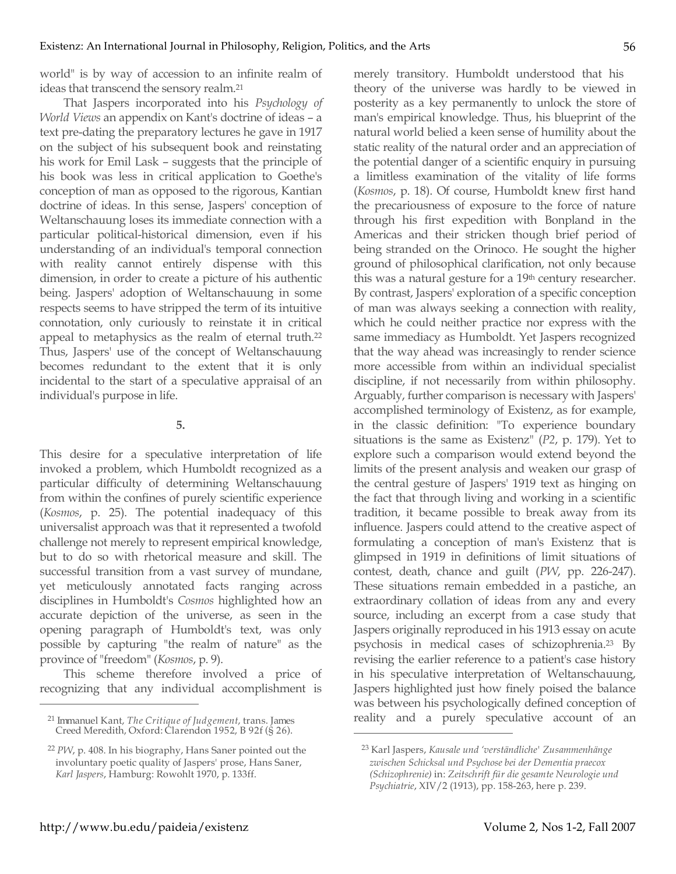world" is by way of accession to an infinite realm of ideas that transcend the sensory realm.21

That Jaspers incorporated into his *Psychology of World Views* an appendix on Kant's doctrine of ideas – a text pre-dating the preparatory lectures he gave in 1917 on the subject of his subsequent book and reinstating his work for Emil Lask – suggests that the principle of his book was less in critical application to Goethe's conception of man as opposed to the rigorous, Kantian doctrine of ideas. In this sense, Jaspers' conception of Weltanschauung loses its immediate connection with a particular political-historical dimension, even if his understanding of an individual's temporal connection with reality cannot entirely dispense with this dimension, in order to create a picture of his authentic being. Jaspers' adoption of Weltanschauung in some respects seems to have stripped the term of its intuitive connotation, only curiously to reinstate it in critical appeal to metaphysics as the realm of eternal truth.22 Thus, Jaspers' use of the concept of Weltanschauung becomes redundant to the extent that it is only incidental to the start of a speculative appraisal of an individual's purpose in life.

**5.**

This desire for a speculative interpretation of life invoked a problem, which Humboldt recognized as a particular difficulty of determining Weltanschauung from within the confines of purely scientific experience (*Kosmos*, p. 25). The potential inadequacy of this universalist approach was that it represented a twofold challenge not merely to represent empirical knowledge, but to do so with rhetorical measure and skill. The successful transition from a vast survey of mundane, yet meticulously annotated facts ranging across disciplines in Humboldt's *Cosmos* highlighted how an accurate depiction of the universe, as seen in the opening paragraph of Humboldt's text, was only possible by capturing "the realm of nature" as the province of "freedom" (*Kosmos*, p. 9).

This scheme therefore involved a price of recognizing that any individual accomplishment is

merely transitory. Humboldt understood that his theory of the universe was hardly to be viewed in posterity as a key permanently to unlock the store of man's empirical knowledge. Thus, his blueprint of the natural world belied a keen sense of humility about the static reality of the natural order and an appreciation of the potential danger of a scientific enquiry in pursuing a limitless examination of the vitality of life forms (*Kosmos*, p. 18). Of course, Humboldt knew first hand the precariousness of exposure to the force of nature through his first expedition with Bonpland in the Americas and their stricken though brief period of being stranded on the Orinoco. He sought the higher ground of philosophical clarification, not only because this was a natural gesture for a 19<sup>th</sup> century researcher. By contrast, Jaspers' exploration of a specific conception of man was always seeking a connection with reality, which he could neither practice nor express with the same immediacy as Humboldt. Yet Jaspers recognized that the way ahead was increasingly to render science more accessible from within an individual specialist discipline, if not necessarily from within philosophy. Arguably, further comparison is necessary with Jaspers' accomplished terminology of Existenz, as for example, in the classic definition: "To experience boundary situations is the same as Existenz" (*P2*, p. 179). Yet to explore such a comparison would extend beyond the limits of the present analysis and weaken our grasp of the central gesture of Jaspers' 1919 text as hinging on the fact that through living and working in a scientific tradition, it became possible to break away from its influence. Jaspers could attend to the creative aspect of formulating a conception of man's Existenz that is glimpsed in 1919 in definitions of limit situations of contest, death, chance and guilt (*PW*, pp. 226-247). These situations remain embedded in a pastiche, an extraordinary collation of ideas from any and every source, including an excerpt from a case study that Jaspers originally reproduced in his 1913 essay on acute psychosis in medical cases of schizophrenia.23 By revising the earlier reference to a patient's case history in his speculative interpretation of Weltanschauung, Jaspers highlighted just how finely poised the balance was between his psychologically defined conception of reality and a purely speculative account of an

 $\overline{a}$ 

<sup>21</sup> Immanuel Kant, *The Critique of Judgement*, trans. James Creed Meredith, Oxford: Clarendon 1952, B 92f (§ 26).

<sup>22</sup> *PW*, p. 408. In his biography, Hans Saner pointed out the involuntary poetic quality of Jaspers' prose, Hans Saner, *Karl Jaspers*, Hamburg: Rowohlt 1970, p. 133ff.

<sup>23</sup> Karl Jaspers, *Kausale und 'verständliche' Zusammenhänge zwischen Schicksal und Psychose bei der Dementia praecox (Schizophrenie)* in: *Zeitschrift für die gesamte Neurologie und Psychiatrie*, XIV/2 (1913), pp. 158-263, here p. 239.